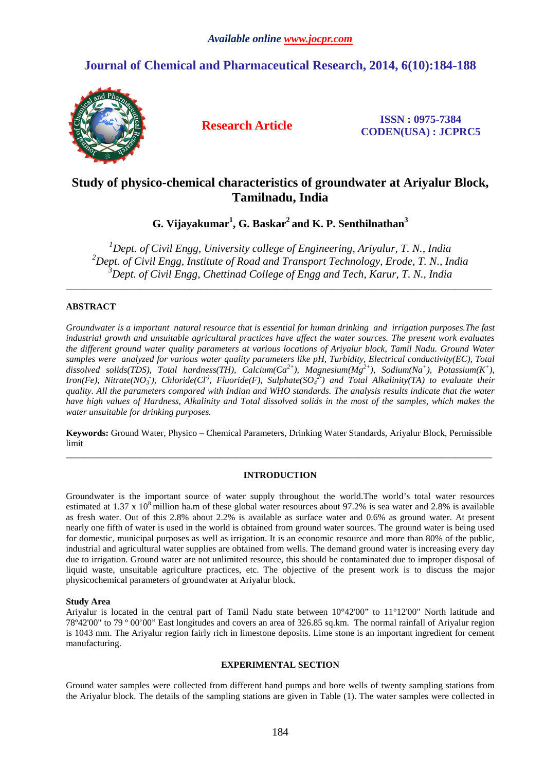## **Journal of Chemical and Pharmaceutical Research, 2014, 6(10):184-188**



**Research Article ISSN : 0975-7384 CODEN(USA) : JCPRC5**

# **Study of physico-chemical characteristics of groundwater at Ariyalur Block, Tamilnadu, India**

**G. Vijayakumar<sup>1</sup> , G. Baskar<sup>2</sup>and K. P. Senthilnathan<sup>3</sup>**

*<sup>1</sup>Dept. of Civil Engg, University college of Engineering, Ariyalur, T. N., India <sup>2</sup>Dept. of Civil Engg, Institute of Road and Transport Technology, Erode, T. N., India <sup>3</sup>Dept. of Civil Engg, Chettinad College of Engg and Tech, Karur, T. N., India* 

*\_\_\_\_\_\_\_\_\_\_\_\_\_\_\_\_\_\_\_\_\_\_\_\_\_\_\_\_\_\_\_\_\_\_\_\_\_\_\_\_\_\_\_\_\_\_\_\_\_\_\_\_\_\_\_\_\_\_\_\_\_\_\_\_\_\_\_\_\_\_\_\_\_\_\_\_\_\_\_\_\_\_\_\_\_\_\_\_\_\_\_\_\_* 

## **ABSTRACT**

*Groundwater is a important natural resource that is essential for human drinking and irrigation purposes.The fast industrial growth and unsuitable agricultural practices have affect the water sources. The present work evaluates the different ground water quality parameters at various locations of Ariyalur block, Tamil Nadu. Ground Water samples were analyzed for various water quality parameters like pH, Turbidity, Electrical conductivity(EC), Total dissolved solids(TDS), Total hardness(TH), Calcium(Ca2+), Magnesium(Mg2+), Sodium(Na<sup>+</sup> ), Potassium(K<sup>+</sup> ), Iron(Fe), Nitrate(NO<sub>3</sub>), Chloride(Cl<sup>-)</sup>, Fluoride(F), Sulphate(SO<sub>4</sub><sup>2</sup>) and Total Alkalinity(TA) to evaluate their quality. All the parameters compared with Indian and WHO standards. The analysis results indicate that the water have high values of Hardness, Alkalinity and Total dissolved solids in the most of the samples, which makes the water unsuitable for drinking purposes.* 

**Keywords:** Ground Water, Physico – Chemical Parameters, Drinking Water Standards, Ariyalur Block, Permissible limit *\_\_\_\_\_\_\_\_\_\_\_\_\_\_\_\_\_\_\_\_\_\_\_\_\_\_\_\_\_\_\_\_\_\_\_\_\_\_\_\_\_\_\_\_\_\_\_\_\_\_\_\_\_\_\_\_\_\_\_\_\_\_\_\_\_\_\_\_\_\_\_\_\_\_\_\_\_\_\_\_\_\_\_\_\_\_\_\_\_\_\_\_\_* 

## **INTRODUCTION**

Groundwater is the important source of water supply throughout the world.The world's total water resources estimated at 1.37 x  $10^8$  million ha.m of these global water resources about 97.2% is sea water and 2.8% is available as fresh water. Out of this 2.8% about 2.2% is available as surface water and 0.6% as ground water. At present nearly one fifth of water is used in the world is obtained from ground water sources. The ground water is being used for domestic, municipal purposes as well as irrigation. It is an economic resource and more than 80% of the public, industrial and agricultural water supplies are obtained from wells. The demand ground water is increasing every day due to irrigation. Ground water are not unlimited resource, this should be contaminated due to improper disposal of liquid waste, unsuitable agriculture practices, etc. The objective of the present work is to discuss the major physicochemical parameters of groundwater at Ariyalur block.

## **Study Area**

Ariyalur is located in the central part of Tamil Nadu state between 10°42'00" to 11°12'00" North latitude and 78º42'00" to 79 º 00'00" East longitudes and covers an area of 326.85 sq.km. The normal rainfall of Ariyalur region is 1043 mm. The Ariyalur region fairly rich in limestone deposits. Lime stone is an important ingredient for cement manufacturing.

#### **EXPERIMENTAL SECTION**

Ground water samples were collected from different hand pumps and bore wells of twenty sampling stations from the Ariyalur block. The details of the sampling stations are given in Table (1). The water samples were collected in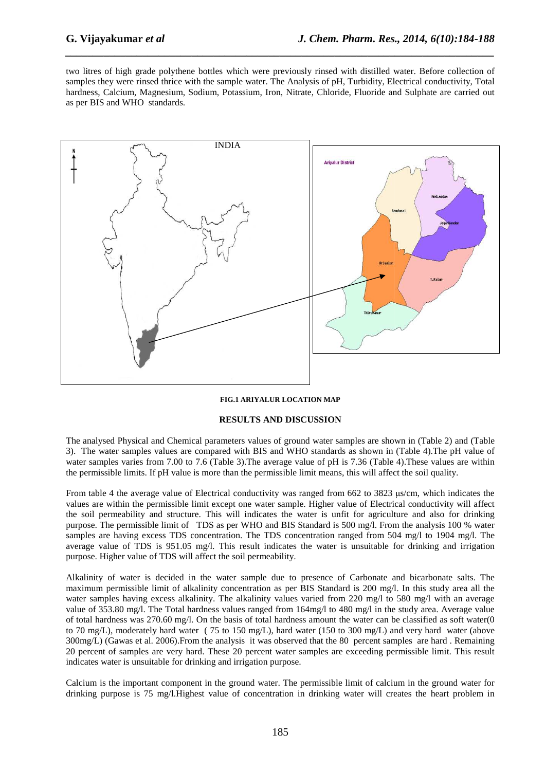two litres of high grade polythene bottles which were previously rinsed with distilled water. Before collection of two litres of high grade polythene bottles which were previously rinsed with distilled water. Before collection of<br>samples they were rinsed thrice with the sample water. The Analysis of pH, Turbidity, Electrical conductivi hardness, Calcium, Magnesium, Sodium, Potassium, Iron, Nitrate, Chloride, Fluoride and Sulphate are carried out as per BIS and WHO standards.

*\_\_\_\_\_\_\_\_\_\_\_\_\_\_\_\_\_\_\_\_\_\_\_\_\_\_\_\_\_\_\_\_\_\_\_\_\_\_\_\_\_\_\_\_\_\_\_\_\_\_\_\_\_\_\_\_\_\_\_\_\_\_\_\_\_\_\_\_\_\_\_\_\_\_\_\_\_\_*



### **FIG.1 ARIYALUR LOCATION MAP**

#### **RESULTS AND DISCUSSION**

The analysed Physical and Chemical parameters values of ground water samples are shown in (Table 2) and (Table 3). The water samples values are compared with BIS and WHO standards as shown in (Table 4).The pH value of water samples varies from 7.00 to 7.6 (Table 3). The average value of pH is 7.36 (Table 4). These values are within the permissible limits. If pH value is more than the permissible limit means, this will affect the soil quality.

From table 4 the average value of Electrical conductivity was ranged from 662 to 3823 µs/cm, which indicates the values are within the permissible limit except one water sample. Higher value of Electrical conductivity will affect the soil permeability and structure. This will indicates the water is unfit for agriculture and also for drinking purpose. The permissible limit of TDS as per WHO and BIS Standard is 500 mg/l. From the analysis 100 % water samples are having excess TDS concentration. The TDS concentration ranged from 504 mg/l to 1904 mg/l. The average value of TDS is 951.05 mg/l. This result indicates the water is unsuitable for drinking and irrigation purpose. Higher value of TDS will affect the soil permeability.

Alkalinity of water is decided in the water sample due to presence of Carbonate and bicarbonate salts. The maximum permissible limit of alkalinity concentration as per BIS Standard is 200 mg/l. In this study area all the water samples having excess alkalinity. The alkalinity values varied from 220 mg/l to 580 mg/l with an average value of 353.80 mg/l. The Total hardness values ranged from 164mg/l to 480 mg/l in the study area. Average value of total hardness was  $270.60$  mg/l. On the basis of total hardness amount the water can be classified as soft water(0 to 70 mg/L), moderately hard water ( 75 to 150 mg/L), hard water (150 to 300 mg/L) and very hard water (above 300mg/L) (Gawas et al. 2006).From the analysis it was observed that the 80 percent samples are hard . Remaining 20 percent of samples are very hard. These 20 percent water sa mples indicates water is unsuitable for drinking and irrigation purpose. age value of TDS is 951.05 mg/l. This result indicates the water is unsuitable for drinking and irrigation<br>ose. Higher value of TDS will affect the soil permeability.<br>
alimity of water is decided in the water sample due to

Calcium is the important component in the ground water. The permissible limit of calcium in the ground water for drinking purpose is 75 mg/l.Highest value of concentration in drinking water will creates the heart problem in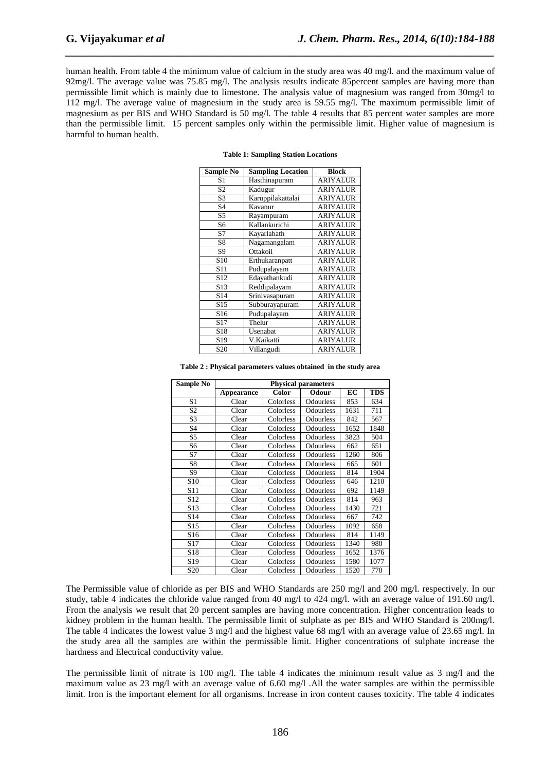human health. From table 4 the minimum value of calcium in the study area was 40 mg/l. and the maximum value of 92mg/l. The average value was 75.85 mg/l. The analysis results indicate 85percent samples are having more than permissible limit which is mainly due to limestone. The analysis value of magnesium was ranged from 30mg/l to 112 mg/l. The average value of magnesium in the study area is 59.55 mg/l. The maximum permissible limit of magnesium as per BIS and WHO Standard is 50 mg/l. The table 4 results that 85 percent water samples are more than the permissible limit. 15 percent samples only within the permissible limit. Higher value of magnesium is harmful to human health.

*\_\_\_\_\_\_\_\_\_\_\_\_\_\_\_\_\_\_\_\_\_\_\_\_\_\_\_\_\_\_\_\_\_\_\_\_\_\_\_\_\_\_\_\_\_\_\_\_\_\_\_\_\_\_\_\_\_\_\_\_\_\_\_\_\_\_\_\_\_\_\_\_\_\_\_\_\_\_*

| <b>Sample No</b> | <b>Sampling Location</b> | <b>Block</b>    |  |  |
|------------------|--------------------------|-----------------|--|--|
| S <sub>1</sub>   | Hasthinapuram            | <b>ARIYALUR</b> |  |  |
| S <sub>2</sub>   | Kadugur                  | <b>ARIYALUR</b> |  |  |
| S <sub>3</sub>   | Karuppilakattalai        | <b>ARIYALUR</b> |  |  |
| S <sub>4</sub>   | Kavanur                  | <b>ARIYALUR</b> |  |  |
| S <sub>5</sub>   | Rayampuram               | <b>ARIYALUR</b> |  |  |
| S6               | Kallankurichi            | <b>ARIYALUR</b> |  |  |
| S7               | Kayarlabath              | <b>ARIYALUR</b> |  |  |
| S8               | Nagamangalam             | <b>ARIYALUR</b> |  |  |
| S <sub>9</sub>   | Ottakoil                 | <b>ARIYALUR</b> |  |  |
| S <sub>10</sub>  | Erthukaranpatt           | <b>ARIYALUR</b> |  |  |
| S <sub>11</sub>  | Pudupalayam              | <b>ARIYALUR</b> |  |  |
| S <sub>12</sub>  | Edayathankudi            | <b>ARIYALUR</b> |  |  |
| S <sub>13</sub>  | Reddipalayam             | <b>ARIYALUR</b> |  |  |
| S <sub>14</sub>  | Srinivasapuram           | <b>ARIYALUR</b> |  |  |
| S15              | Subburayapuram           | <b>ARIYALUR</b> |  |  |
| S <sub>16</sub>  | Pudupalayam              | <b>ARIYALUR</b> |  |  |
| S <sub>17</sub>  | Thelur                   | <b>ARIYALUR</b> |  |  |
| S <sub>18</sub>  | Usenabat                 | <b>ARIYALUR</b> |  |  |
| S <sub>19</sub>  | V.Kaikatti               | <b>ARIYALUR</b> |  |  |
| S <sub>20</sub>  | Villangudi               | <b>ARIYALUR</b> |  |  |

|  |  |  |  | <b>Table 1: Sampling Station Locations</b> |
|--|--|--|--|--------------------------------------------|
|--|--|--|--|--------------------------------------------|

**Table 2 : Physical parameters values obtained in the study area** 

| Sample No       | <b>Physical parameters</b> |           |           |      |            |  |  |
|-----------------|----------------------------|-----------|-----------|------|------------|--|--|
|                 | Appearance                 | Color     | Odour     | ЕC   | <b>TDS</b> |  |  |
| S1              | Clear                      | Colorless | Odourless | 853  | 634        |  |  |
| S <sub>2</sub>  | Clear                      | Colorless | Odourless | 1631 | 711        |  |  |
| S <sub>3</sub>  | Clear                      | Colorless | Odourless | 842  | 567        |  |  |
| S <sub>4</sub>  | Clear                      | Colorless | Odourless | 1652 | 1848       |  |  |
| S5              | Clear                      | Colorless | Odourless | 3823 | 504        |  |  |
| S6              | Clear                      | Colorless | Odourless | 662  | 651        |  |  |
| S7              | Clear                      | Colorless | Odourless | 1260 | 806        |  |  |
| S8              | Clear                      | Colorless | Odourless | 665  | 601        |  |  |
| S9              | Clear                      | Colorless | Odourless | 814  | 1904       |  |  |
| S <sub>10</sub> | Clear                      | Colorless | Odourless | 646  | 1210       |  |  |
| S <sub>11</sub> | Clear                      | Colorless | Odourless | 692  | 1149       |  |  |
| S <sub>12</sub> | Clear                      | Colorless | Odourless | 814  | 963        |  |  |
| S <sub>13</sub> | Clear                      | Colorless | Odourless | 1430 | 721        |  |  |
| S <sub>14</sub> | Clear                      | Colorless | Odourless | 667  | 742        |  |  |
| S <sub>15</sub> | Clear                      | Colorless | Odourless | 1092 | 658        |  |  |
| S <sub>16</sub> | Clear                      | Colorless | Odourless | 814  | 1149       |  |  |
| S17             | Clear                      | Colorless | Odourless | 1340 | 980        |  |  |
| S <sub>18</sub> | Clear                      | Colorless | Odourless | 1652 | 1376       |  |  |
| S <sub>19</sub> | Clear                      | Colorless | Odourless | 1580 | 1077       |  |  |
| S <sub>20</sub> | Clear                      | Colorless | Odourless | 1520 | 770        |  |  |

The Permissible value of chloride as per BIS and WHO Standards are 250 mg/l and 200 mg/l. respectively. In our study, table 4 indicates the chloride value ranged from 40 mg/l to 424 mg/l. with an average value of 191.60 mg/l. From the analysis we result that 20 percent samples are having more concentration. Higher concentration leads to kidney problem in the human health. The permissible limit of sulphate as per BIS and WHO Standard is 200mg/l. The table 4 indicates the lowest value 3 mg/l and the highest value 68 mg/l with an average value of 23.65 mg/l. In the study area all the samples are within the permissible limit. Higher concentrations of sulphate increase the hardness and Electrical conductivity value.

The permissible limit of nitrate is 100 mg/l. The table 4 indicates the minimum result value as 3 mg/l and the maximum value as 23 mg/l with an average value of 6.60 mg/l .All the water samples are within the permissible limit. Iron is the important element for all organisms. Increase in iron content causes toxicity. The table 4 indicates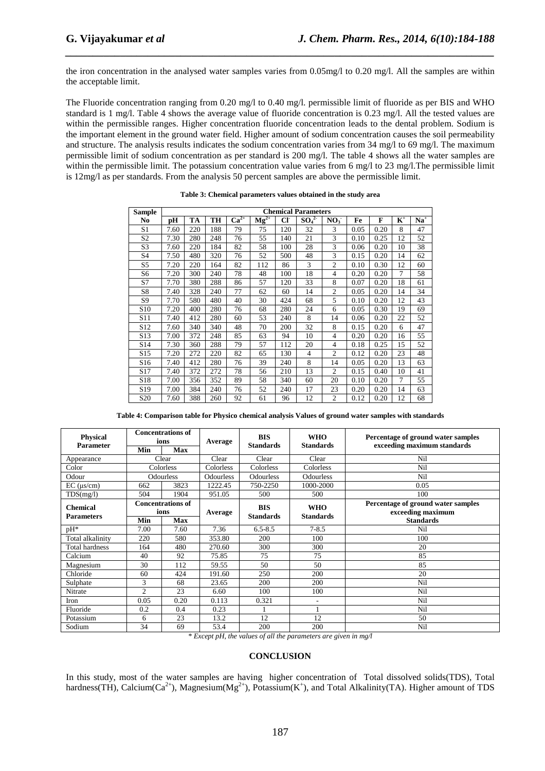the iron concentration in the analysed water samples varies from 0.05mg/l to 0.20 mg/l. All the samples are within the acceptable limit.

*\_\_\_\_\_\_\_\_\_\_\_\_\_\_\_\_\_\_\_\_\_\_\_\_\_\_\_\_\_\_\_\_\_\_\_\_\_\_\_\_\_\_\_\_\_\_\_\_\_\_\_\_\_\_\_\_\_\_\_\_\_\_\_\_\_\_\_\_\_\_\_\_\_\_\_\_\_\_*

The Fluoride concentration ranging from 0.20 mg/l to 0.40 mg/l. permissible limit of fluoride as per BIS and WHO standard is 1 mg/l. Table 4 shows the average value of fluoride concentration is 0.23 mg/l. All the tested values are within the permissible ranges. Higher concentration fluoride concentration leads to the dental problem. Sodium is the important element in the ground water field. Higher amount of sodium concentration causes the soil permeability and structure. The analysis results indicates the sodium concentration varies from 34 mg/l to 69 mg/l. The maximum permissible limit of sodium concentration as per standard is 200 mg/l. The table 4 shows all the water samples are within the permissible limit. The potassium concentration value varies from 6 mg/l to 23 mg/l. The permissible limit is 12mg/l as per standards. From the analysis 50 percent samples are above the permissible limit.

| <b>Sample</b>   | <b>Chemical Parameters</b> |     |     |           |           |                 |                              |                 |      |      |       |       |
|-----------------|----------------------------|-----|-----|-----------|-----------|-----------------|------------------------------|-----------------|------|------|-------|-------|
| No              | рH                         | TA  | TH  | $Ca^{2+}$ | $Mg^{2+}$ | CI <sub>c</sub> | SO <sub>4</sub> <sup>2</sup> | NO <sub>3</sub> | Fe   | F    | $K^+$ | $Na+$ |
| S <sub>1</sub>  | 7.60                       | 220 | 188 | 79        | 75        | 120             | 32                           | 3               | 0.05 | 0.20 | 8     | 47    |
| S <sub>2</sub>  | 7.30                       | 280 | 248 | 76        | 55        | 140             | 21                           | 3               | 0.10 | 0.25 | 12    | 52    |
| S <sub>3</sub>  | 7.60                       | 220 | 184 | 82        | 58        | 100             | 28                           | 3               | 0.06 | 0.20 | 10    | 38    |
| S4              | 7.50                       | 480 | 320 | 76        | 52        | 500             | 48                           | 3               | 0.15 | 0.20 | 14    | 62    |
| S5              | 7.20                       | 220 | 164 | 82        | 112       | 86              | 3                            | $\overline{2}$  | 0.10 | 0.30 | 12    | 60    |
| S6              | 7.20                       | 300 | 240 | 78        | 48        | 100             | 18                           | $\overline{4}$  | 0.20 | 0.20 | 7     | 58    |
| S7              | 7.70                       | 380 | 288 | 86        | 57        | 120             | 33                           | 8               | 0.07 | 0.20 | 18    | 61    |
| S8              | 7.40                       | 328 | 240 | 77        | 62        | 60              | 14                           | $\overline{2}$  | 0.05 | 0.20 | 14    | 34    |
| S9              | 7.70                       | 580 | 480 | 40        | 30        | 424             | 68                           | 5               | 0.10 | 0.20 | 12    | 43    |
| S <sub>10</sub> | 7.20                       | 400 | 280 | 76        | 68        | 280             | 24                           | 6               | 0.05 | 0.30 | 19    | 69    |
| S11             | 7.40                       | 412 | 280 | 60        | 53        | 240             | 8                            | 14              | 0.06 | 0.20 | 22    | 52    |
| S <sub>12</sub> | 7.60                       | 340 | 340 | 48        | 70        | 200             | 32                           | 8               | 0.15 | 0.20 | 6     | 47    |
| S <sub>13</sub> | 7.00                       | 372 | 248 | 85        | 63        | 94              | 10                           | $\overline{4}$  | 0.20 | 0.20 | 16    | 55    |
| S14             | 7.30                       | 360 | 288 | 79        | 57        | 112             | 20                           | $\overline{4}$  | 0.18 | 0.25 | 15    | 52    |
| S <sub>15</sub> | 7.20                       | 272 | 220 | 82        | 65        | 130             | $\overline{4}$               | $\mathfrak{2}$  | 0.12 | 0.20 | 23    | 48    |
| S <sub>16</sub> | 7.40                       | 412 | 280 | 76        | 39        | 240             | 8                            | 14              | 0.05 | 0.20 | 13    | 63    |
| S17             | 7.40                       | 372 | 272 | 78        | 56        | 210             | 13                           | $\overline{2}$  | 0.15 | 0.40 | 10    | 41    |
| S <sub>18</sub> | 7.00                       | 356 | 352 | 89        | 58        | 340             | 60                           | 20              | 0.10 | 0.20 | 7     | 55    |
| S <sub>19</sub> | 7.00                       | 384 | 240 | 76        | 52        | 240             | 17                           | 23              | 0.20 | 0.20 | 14    | 63    |
| S20             | 7.60                       | 388 | 260 | 92        | 61        | 96              | 12                           | $\mathfrak{2}$  | 0.12 | 0.20 | 12    | 68    |

**Table 3: Chemical parameters values obtained in the study area** 

| Table 4: Comparison table for Physico chemical analysis Values of ground water samples with standards |  |  |
|-------------------------------------------------------------------------------------------------------|--|--|
|-------------------------------------------------------------------------------------------------------|--|--|

| <b>Physical</b>                      | <b>Concentrations of</b><br>ions |            |                                           | <b>BIS</b>                     | <b>WHO</b>                                              | Percentage of ground water samples |
|--------------------------------------|----------------------------------|------------|-------------------------------------------|--------------------------------|---------------------------------------------------------|------------------------------------|
| <b>Parameter</b>                     | Min                              | <b>Max</b> | Average                                   | <b>Standards</b>               | <b>Standards</b>                                        | exceeding maximum standards        |
| Appearance                           | Clear                            |            | Clear                                     | Clear                          | Clear                                                   | Nil                                |
| Color                                |                                  | Colorless  | Colorless                                 | Colorless                      | Colorless                                               | Nil                                |
| Odour                                |                                  | Odourless  | <b>Odourless</b>                          | <b>Odourless</b>               | Odourless                                               | Nil                                |
| $EC$ ( $\mu s/cm$ )                  | 662                              | 3823       | 1222.45                                   | 750-2250                       | 1000-2000                                               | 0.05                               |
| TDS(mg/l)                            | 504                              | 1904       | 951.05                                    | 500                            | 500                                                     | 100                                |
| <b>Chemical</b><br><b>Parameters</b> | <b>Concentrations of</b><br>ions |            | <b>BIS</b><br>Average<br><b>Standards</b> | <b>WHO</b><br><b>Standards</b> | Percentage of ground water samples<br>exceeding maximum |                                    |
|                                      | Min                              | <b>Max</b> |                                           |                                |                                                         | <b>Standards</b>                   |
| $pH*$                                | 7.00                             | 7.60       | 7.36                                      | $6.5 - 8.5$                    | $7 - 8.5$                                               | Nil                                |
| Total alkalinity                     | 220                              | 580        | 353.80                                    | 200                            | 100                                                     | 100                                |
| <b>Total hardness</b>                | 164                              | 480        | 270.60                                    | 300                            | 300                                                     | 20                                 |
| Calcium                              | 40                               | 92         | 75.85                                     | 75                             | 75                                                      | 85                                 |
| Magnesium                            | 30                               | 112        | 59.55                                     | 50                             | 50                                                      | 85                                 |
| Chloride                             | 60                               | 424        | 191.60                                    | 250                            | 200                                                     | 20                                 |
| Sulphate                             | 3                                | 68         | 23.65                                     | 200                            | 200                                                     | Nil                                |
| Nitrate                              | $\overline{2}$                   | 23         | 6.60                                      | 100                            | 100                                                     | Nil                                |
| Iron                                 | 0.05                             | 0.20       | 0.113                                     | 0.321                          | ٠                                                       | Nil                                |
| Fluoride                             | 0.2                              | 0.4        | 0.23                                      |                                |                                                         | Nil                                |
| Potassium                            | 6                                | 23         | 13.2                                      | 12                             | 12                                                      | 50                                 |
| Sodium                               | 34                               | 69         | 53.4                                      | 200                            | 200                                                     | Nil                                |

*\* Except pH, the values of all the parameters are given in mg/l* 

#### **CONCLUSION**

In this study, most of the water samples are having higher concentration of Total dissolved solids(TDS), Total hardness(TH), Calcium(Ca<sup>2+</sup>), Magnesium(Mg<sup>2+</sup>), Potassium(K<sup>+</sup>), and Total Alkalinity(TA). Higher amount of TDS